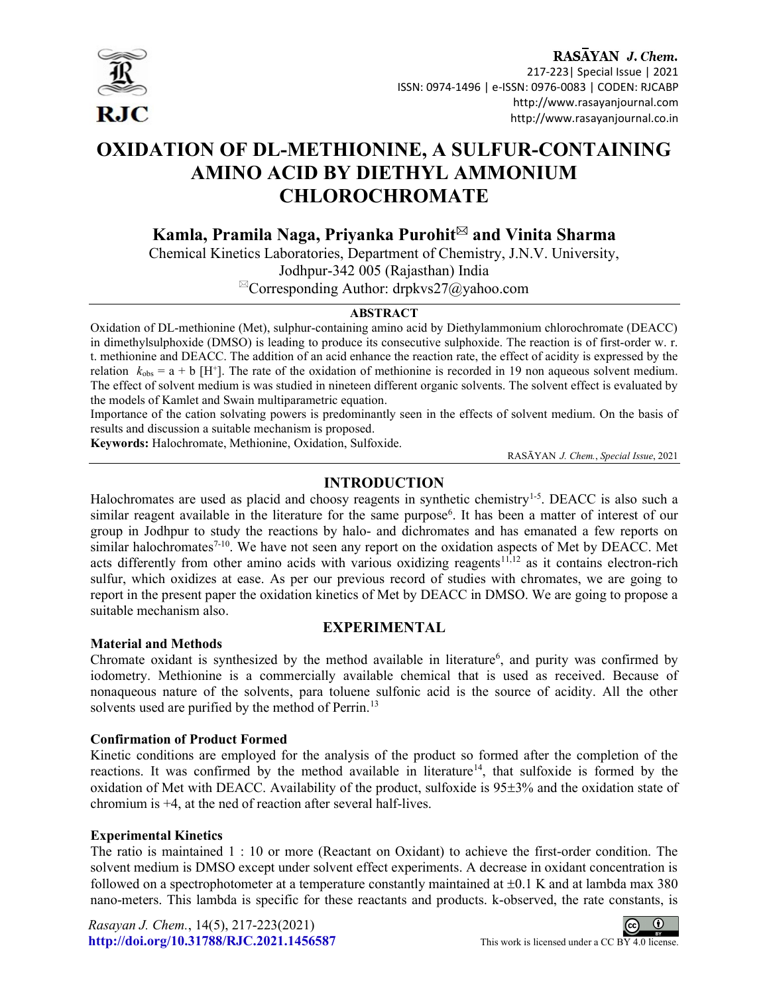

# RASAYAN J. Chem. 217-223| Special Issue | 2021 ISSN: 0974-1496 | e-ISSN: 0976-0083 | CODEN: RJCABP http://www.rasayanjournal.com

## http://www.rasayanjournal.co.in

# OXIDATION OF DL-METHIONINE, A SULFUR-CONTAINING AMINO ACID BY DIETHYL AMMONIUM CHLOROCHROMATE

Kamla, Pramila Naga, Priyanka Purohit $^{\bowtie}$  and Vinita Sharma

Chemical Kinetics Laboratories, Department of Chemistry, J.N.V. University, Jodhpur-342 005 (Rajasthan) India  ${}^{\boxtimes}$ Corresponding Author: drpkvs27@yahoo.com

# ABSTRACT

Oxidation of DL-methionine (Met), sulphur-containing amino acid by Diethylammonium chlorochromate (DEACC) in dimethylsulphoxide (DMSO) is leading to produce its consecutive sulphoxide. The reaction is of first-order w. r. t. methionine and DEACC. The addition of an acid enhance the reaction rate, the effect of acidity is expressed by the relation  $k_{obs} = a + b$  [H<sup>+</sup>]. The rate of the oxidation of methionine is recorded in 19 non aqueous solvent medium. The effect of solvent medium is was studied in nineteen different organic solvents. The solvent effect is evaluated by the models of Kamlet and Swain multiparametric equation.

Importance of the cation solvating powers is predominantly seen in the effects of solvent medium. On the basis of results and discussion a suitable mechanism is proposed.

Keywords: Halochromate, Methionine, Oxidation, Sulfoxide.

RASĀYAN J. Chem., Special Issue, 2021

# INTRODUCTION

Halochromates are used as placid and choosy reagents in synthetic chemistry<sup>1-5</sup>. DEACC is also such a similar reagent available in the literature for the same purpose<sup>6</sup>. It has been a matter of interest of our group in Jodhpur to study the reactions by halo- and dichromates and has emanated a few reports on similar halochromates<sup>7-10</sup>. We have not seen any report on the oxidation aspects of Met by DEACC. Met acts differently from other amino acids with various oxidizing reagents<sup>11,12</sup> as it contains electron-rich sulfur, which oxidizes at ease. As per our previous record of studies with chromates, we are going to report in the present paper the oxidation kinetics of Met by DEACC in DMSO. We are going to propose a suitable mechanism also.

## Material and Methods

## EXPERIMENTAL

Chromate oxidant is synthesized by the method available in literature<sup>6</sup>, and purity was confirmed by iodometry. Methionine is a commercially available chemical that is used as received. Because of nonaqueous nature of the solvents, para toluene sulfonic acid is the source of acidity. All the other solvents used are purified by the method of Perrin.<sup>13</sup>

# Confirmation of Product Formed

Kinetic conditions are employed for the analysis of the product so formed after the completion of the reactions. It was confirmed by the method available in literature<sup>14</sup>, that sulfoxide is formed by the oxidation of Met with DEACC. Availability of the product, sulfoxide is  $95\pm3\%$  and the oxidation state of chromium is +4, at the ned of reaction after several half-lives.

# Experimental Kinetics

The ratio is maintained 1 : 10 or more (Reactant on Oxidant) to achieve the first-order condition. The solvent medium is DMSO except under solvent effect experiments. A decrease in oxidant concentration is followed on a spectrophotometer at a temperature constantly maintained at  $\pm 0.1$  K and at lambda max 380 nano-meters. This lambda is specific for these reactants and products. k-observed, the rate constants, is

Rasayan J. Chem., 14(5), 217-223(2021) http://doi.org/10.31788/RJC.2021.1456587 This work is licensed under a CC BY 4.0 license.

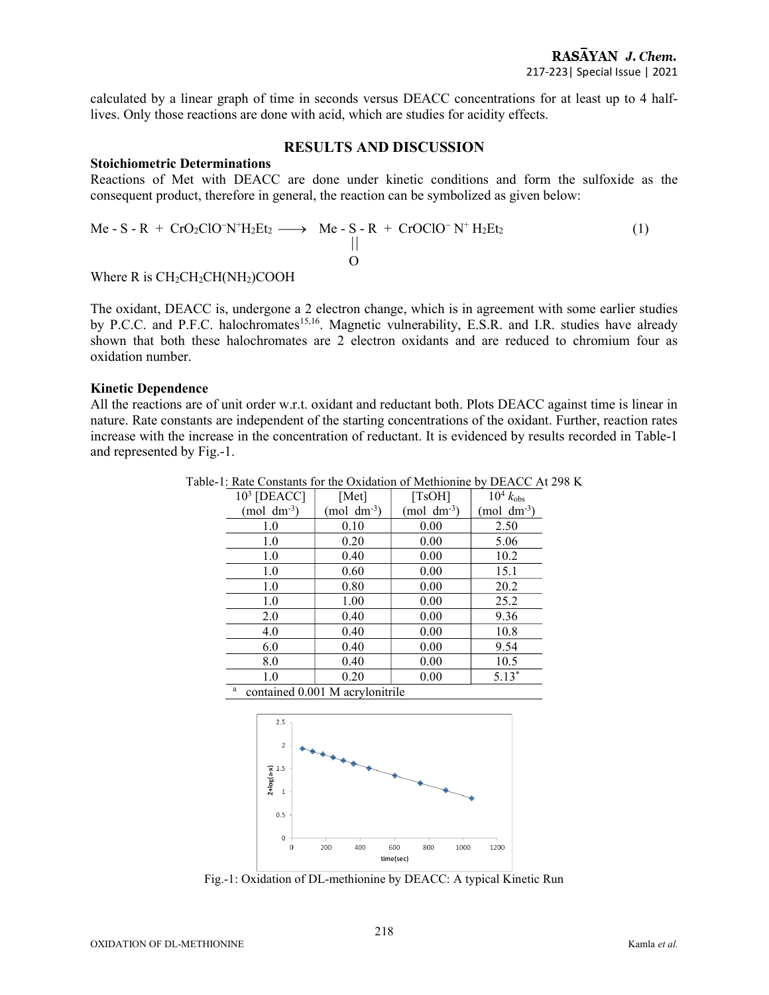calculated by a linear graph of time in seconds versus DEACC concentrations for at least up to 4 halflives. Only those reactions are done with acid, which are studies for acidity effects.

#### RESULTS AND DISCUSSION

#### Stoichiometric Determinations

Reactions of Met with DEACC are done under kinetic conditions and form the sulfoxide as the consequent product, therefore in general, the reaction can be symbolized as given below:

$$
\begin{array}{ccc}\n\text{Me-S-R} + \text{CrO}_2\text{ClO-N}^+ \text{H}_2\text{Et}_2 & \longrightarrow & \text{Me-S-R} + \text{CrOClO-N}^+ \text{H}_2\text{Et}_2 \\
\parallel & & & \\
\text{O} & & & \\
\end{array}\n\tag{1}
$$

Where R is  $CH<sub>2</sub>CH<sub>2</sub>CH(NH<sub>2</sub>)COOH$ 

The oxidant, DEACC is, undergone a 2 electron change, which is in agreement with some earlier studies by P.C.C. and P.F.C. halochromates<sup>15,16</sup>. Magnetic vulnerability, E.S.R. and I.R. studies have already shown that both these halochromates are 2 electron oxidants and are reduced to chromium four as oxidation number.

#### Kinetic Dependence

All the reactions are of unit order w.r.t. oxidant and reductant both. Plots DEACC against time is linear in nature. Rate constants are independent of the starting concentrations of the oxidant. Further, reaction rates increase with the increase in the concentration of reductant. It is evidenced by results recorded in Table-1 and represented by Fig.-1.

| $103$ [DEACC]    | [Met]                   | [TsOH]                  | $10^4$ $k_{\text{obs}}$ |
|------------------|-------------------------|-------------------------|-------------------------|
| (mol $dm^{-3}$ ) | (mol dm <sup>-3</sup> ) | (mol dm <sup>-3</sup> ) | (mol $dm^{-3}$ )        |
| 1.0              | 0.10                    | 0.00                    | 2.50                    |
| 1.0              | 0.20                    | 0.00                    | 5.06                    |
| 1.0              | 0.40                    | 0.00                    | 10.2                    |
| 1.0              | 0.60                    | 0.00                    | 15.1                    |
| 1.0              | 0.80                    | 0.00                    | 20.2                    |
| 1.0              | 1.00                    | 0.00                    | 25.2                    |
| 2.0              | 0.40                    | 0.00                    | 9.36                    |
| 4.0              | 0.40                    | 0.00                    | 10.8                    |
| 6.0              | 0.40                    | 0.00                    | 9.54                    |
| 8.0              | 0.40                    | 0.00                    | 10.5                    |
| 1.0              | 0.20                    | 0.00                    | $5.13*$                 |

Table-1: Rate Constants for the Oxidation of Methionine by DEACC At 298 K

a contained 0.001 M acrylonitrile



Fig.-1: Oxidation of DL-methionine by DEACC: A typical Kinetic Run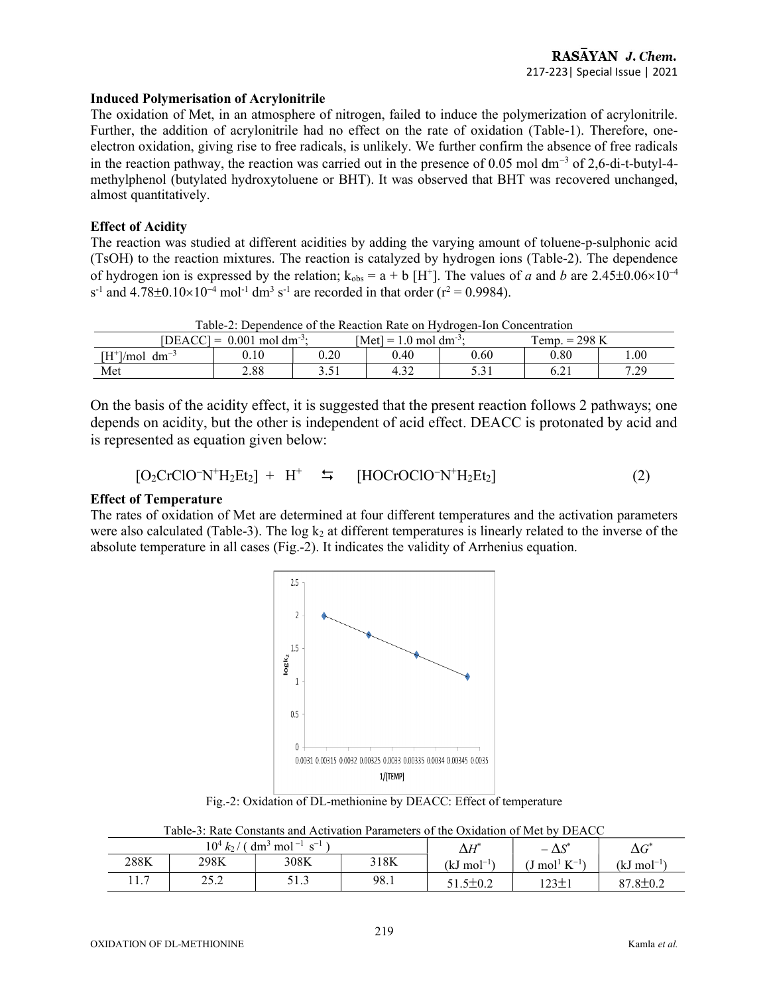### Induced Polymerisation of Acrylonitrile

The oxidation of Met, in an atmosphere of nitrogen, failed to induce the polymerization of acrylonitrile. Further, the addition of acrylonitrile had no effect on the rate of oxidation (Table-1). Therefore, oneelectron oxidation, giving rise to free radicals, is unlikely. We further confirm the absence of free radicals in the reaction pathway, the reaction was carried out in the presence of  $0.05$  mol dm<sup>-3</sup> of  $2,6$ -di-t-butyl-4methylphenol (butylated hydroxytoluene or BHT). It was observed that BHT was recovered unchanged, almost quantitatively.

## Effect of Acidity

The reaction was studied at different acidities by adding the varying amount of toluene-p-sulphonic acid (TsOH) to the reaction mixtures. The reaction is catalyzed by hydrogen ions (Table-2). The dependence of hydrogen ion is expressed by the relation;  $k_{obs} = a + b$  [H<sup>+</sup>]. The values of a and b are 2.45±0.06×10<sup>-4</sup> s<sup>-1</sup> and  $4.78 \pm 0.10 \times 10^{-4}$  mol<sup>-1</sup> dm<sup>3</sup> s<sup>-1</sup> are recorded in that order (r<sup>2</sup> = 0.9984).

| Taone 2. Debendence of the Keachon Kate on ITVdfozen fon Concentration |      |       |                                    |        |                 |      |  |
|------------------------------------------------------------------------|------|-------|------------------------------------|--------|-----------------|------|--|
| [DEACC] = $0.001$ mol dm <sup>-3</sup> :                               |      |       | [Met] = 1.0 mol dm <sup>-3</sup> : |        | Femp. $= 298$ K |      |  |
| $[H^*]/mol$ dm <sup>-3</sup>                                           | 0.10 | 0.20  | 0.40                               | 0.60   | $_{0.80}$       | .00. |  |
| Met                                                                    | 2.88 | 1 . ب | 4.32                               | ، ر. ر | 6.21            | 7.29 |  |

Table-2: Dependence of the Reaction Rate on Hydrogen-Ion Concentration

On the basis of the acidity effect, it is suggested that the present reaction follows 2 pathways; one depends on acidity, but the other is independent of acid effect. DEACC is protonated by acid and is represented as equation given below:

$$
[O_2CrClO^-N^+H_2Et_2] + H^+ \quad \Rightarrow \quad [HOCrOClO^-N^+H_2Et_2]
$$
 (2)

#### Effect of Temperature

The rates of oxidation of Met are determined at four different temperatures and the activation parameters were also calculated (Table-3). The  $log k_2$  at different temperatures is linearly related to the inverse of the absolute temperature in all cases (Fig.-2). It indicates the validity of Arrhenius equation.



Fig.-2: Oxidation of DL-methionine by DEACC: Effect of temperature

| Table-3: Rate Constants and Activation Parameters of the Oxidation of Met by DEACC |  |  |  |  |  |
|------------------------------------------------------------------------------------|--|--|--|--|--|
|                                                                                    |  |  |  |  |  |

| 10 <sup>4</sup><br>$^{\circ}$ mol <sup>-1</sup> s <sup>-1</sup><br>$dm^3$<br>k <sub>2</sub> |               |               |      | $\Delta H^*$           | . ഷ<br>$\overline{\phantom{0}}$<br>نتفك | $\Lambda$ $\cap^*$<br>ΔU  |
|---------------------------------------------------------------------------------------------|---------------|---------------|------|------------------------|-----------------------------------------|---------------------------|
| 288K                                                                                        | 298K          | 308K          | 318K | (kJ mol <sup>–1)</sup> | mol <sup>1</sup> $K^{-1}$               | (kJ mol <sup>–1)</sup>    |
| 1 <sub>7</sub><br>11.7                                                                      | 252<br>ے کہ ج | 51 J<br>J 1.J | 98.1 | l.5±0.2                | $123+$<br>1 كەنگ                        | $7.8{\pm}0.2$<br>$\Omega$ |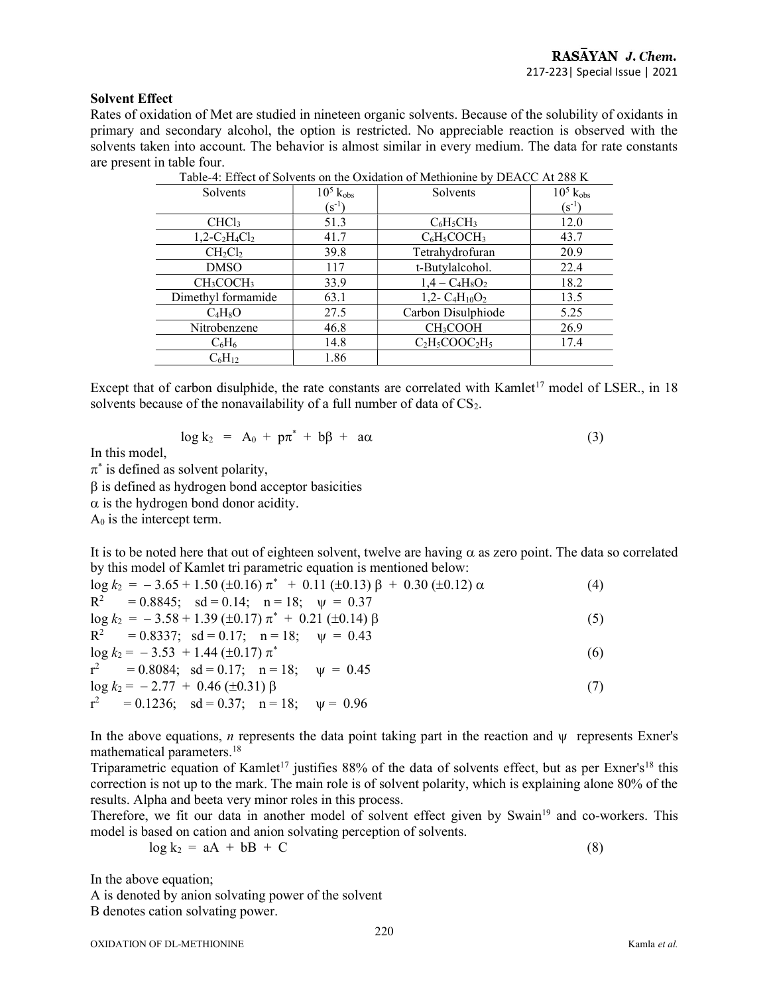#### Solvent Effect

Rates of oxidation of Met are studied in nineteen organic solvents. Because of the solubility of oxidants in primary and secondary alcohol, the option is restricted. No appreciable reaction is observed with the solvents taken into account. The behavior is almost similar in every medium. The data for rate constants are present in table four.

| Table-4: Effect of Solvents on the Oxidation of Methionine by DEACC At 288 $\bf{N}$ |                         |                      |                         |  |  |  |
|-------------------------------------------------------------------------------------|-------------------------|----------------------|-------------------------|--|--|--|
| Solvents                                                                            | $10^5$ $k_{\text{obs}}$ | Solvents             | $10^5$ $k_{\text{obs}}$ |  |  |  |
|                                                                                     | $({\rm s}^{\text{-}1})$ |                      | $(s^{-1})$              |  |  |  |
| CHCl <sub>3</sub>                                                                   | 51.3                    | $C_6H_5CH_3$         | 12.0                    |  |  |  |
| $1,2-C_2H_4Cl_2$                                                                    | 41.7                    | $C_6H_5COCH_3$       | 43.7                    |  |  |  |
| $CH_2Cl_2$                                                                          | 39.8                    | Tetrahydrofuran      | 20.9                    |  |  |  |
| <b>DMSO</b>                                                                         | 117                     | t-Butylalcohol.      | 22.4                    |  |  |  |
| CH <sub>3</sub> COCH <sub>3</sub>                                                   | 33.9                    | $1,4 - C_4H_8O_2$    | 18.2                    |  |  |  |
| Dimethyl formamide                                                                  | 63.1                    | 1,2- $C_4H_{10}O_2$  | 13.5                    |  |  |  |
| $C_4H_8O$                                                                           | 27.5                    | Carbon Disulphiode   | 5.25                    |  |  |  |
| Nitrobenzene                                                                        | 46.8                    | CH <sub>3</sub> COOH | 26.9                    |  |  |  |
| $\rm{C_6H_6}$                                                                       | 14.8                    | $C_2H_5COOC_2H_5$    | 17.4                    |  |  |  |
| $C_6H_{12}$                                                                         | 1.86                    |                      |                         |  |  |  |
|                                                                                     |                         |                      |                         |  |  |  |

Table-4: Effect of Solvents on the Oxidation of Methioning by DEACC At 200 V

Except that of carbon disulphide, the rate constants are correlated with Kamlet<sup>17</sup> model of LSER., in 18 solvents because of the nonavailability of a full number of data of  $CS<sub>2</sub>$ .

$$
\log k_2 = A_0 + p\pi^* + b\beta + a\alpha \tag{3}
$$

In this model,

 $\pi^*$  is defined as solvent polarity,

 $\beta$  is defined as hydrogen bond acceptor basicities

 $\alpha$  is the hydrogen bond donor acidity.

 $A_0$  is the intercept term.

It is to be noted here that out of eighteen solvent, twelve are having  $\alpha$  as zero point. The data so correlated by this model of Kamlet tri parametric equation is mentioned below:

| $\log k_2 = -3.65 + 1.50 \ (\pm 0.16) \ \pi^* + 0.11 \ (\pm 0.13) \ \beta + 0.30 \ (\pm 0.12) \ \alpha$ | (4) |
|---------------------------------------------------------------------------------------------------------|-----|
| $R^2$ = 0.8845; sd = 0.14; n = 18; $\psi$ = 0.37                                                        |     |
| $\log k_2 = -3.58 + 1.39 \ (\pm 0.17) \ \pi^* + 0.21 \ (\pm 0.14) \ \beta$                              | (5) |
| $R^2$ = 0.8337; sd = 0.17; n = 18; $\psi$ = 0.43                                                        |     |
| $\log k_2 = -3.53 + 1.44 \ (\pm 0.17) \ \pi^*$                                                          | (6) |
| $r^2$ = 0.8084; sd = 0.17; n = 18; $\psi$ = 0.45                                                        |     |
| $\log k_2 = -2.77 + 0.46 (\pm 0.31) \beta$                                                              | (7) |
| $r^2 = 0.1236$ ; sd = 0.37; n = 18; $\psi = 0.96$                                                       |     |

In the above equations, *n* represents the data point taking part in the reaction and  $\nu$  represents Exner's mathematical parameters.<sup>18</sup>

Triparametric equation of Kamlet<sup>17</sup> justifies 88% of the data of solvents effect, but as per Exner's<sup>18</sup> this correction is not up to the mark. The main role is of solvent polarity, which is explaining alone 80% of the results. Alpha and beeta very minor roles in this process.

Therefore, we fit our data in another model of solvent effect given by Swain<sup>19</sup> and co-workers. This model is based on cation and anion solvating perception of solvents.

$$
\log k_2 = aA + bB + C \tag{8}
$$

In the above equation;

A is denoted by anion solvating power of the solvent B denotes cation solvating power.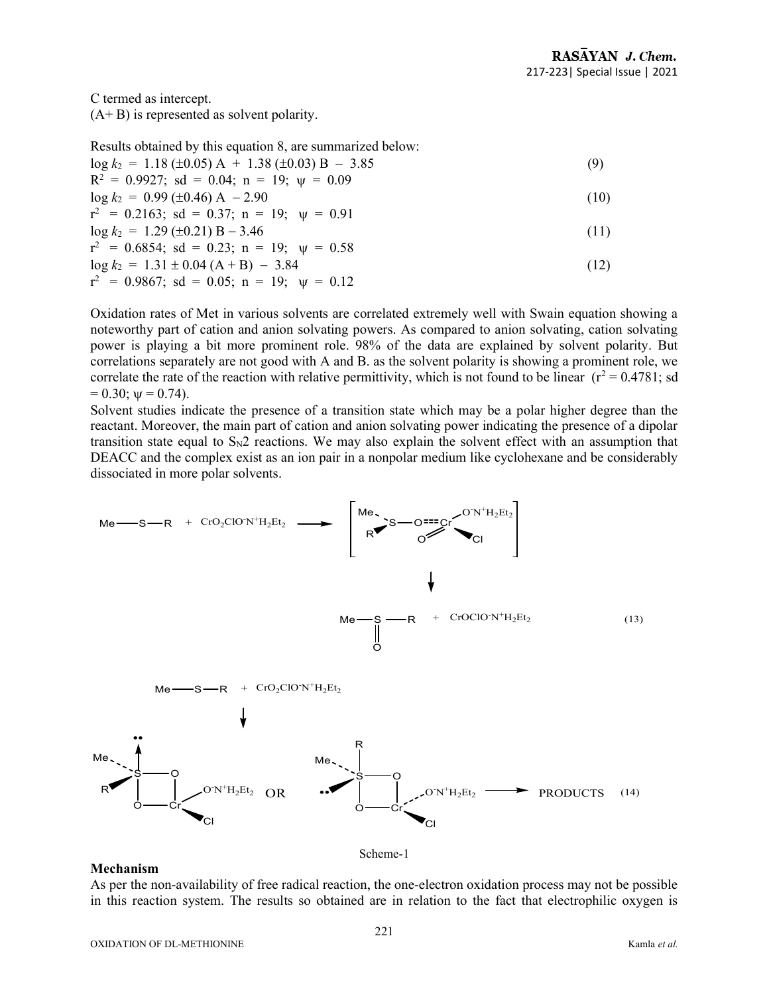C termed as intercept.

 $(A + B)$  is represented as solvent polarity.

Results obtained by this equation 8, are summarized below:  $\log k_2 = 1.18 \ (\pm 0.05) \ \text{A} + 1.38 \ (\pm 0.03) \ \text{B} - 3.85$  (9)  $R^2 = 0.9927$ ; sd = 0.04; n = 19;  $\psi = 0.09$  $\log k_2 = 0.99 \left(\pm 0.46\right) \text{ A} - 2.90$  (10)  $r^2 = 0.2163$ ; sd = 0.37; n = 19;  $\psi = 0.91$  $\log k_2 = 1.29 \ (\pm 0.21) \ B - 3.46$  (11)  $r^2 = 0.6854$ ; sd = 0.23; n = 19;  $\psi = 0.58$  $\log k_2 = 1.31 \pm 0.04 \ (A + B) - 3.84$  (12)  $r^2$  = 0.9867; sd = 0.05; n = 19;  $\psi$  = 0.12

Oxidation rates of Met in various solvents are correlated extremely well with Swain equation showing a noteworthy part of cation and anion solvating powers. As compared to anion solvating, cation solvating power is playing a bit more prominent role. 98% of the data are explained by solvent polarity. But correlations separately are not good with A and B. as the solvent polarity is showing a prominent role, we correlate the rate of the reaction with relative permittivity, which is not found to be linear  $(r^2 = 0.4781; sd$  $= 0.30$ ;  $\psi = 0.74$ ).

Solvent studies indicate the presence of a transition state which may be a polar higher degree than the reactant. Moreover, the main part of cation and anion solvating power indicating the presence of a dipolar transition state equal to  $S_N2$  reactions. We may also explain the solvent effect with an assumption that DEACC and the complex exist as an ion pair in a nonpolar medium like cyclohexane and be considerably dissociated in more polar solvents.



#### Mechanism

As per the non-availability of free radical reaction, the one-electron oxidation process may not be possible in this reaction system. The results so obtained are in relation to the fact that electrophilic oxygen is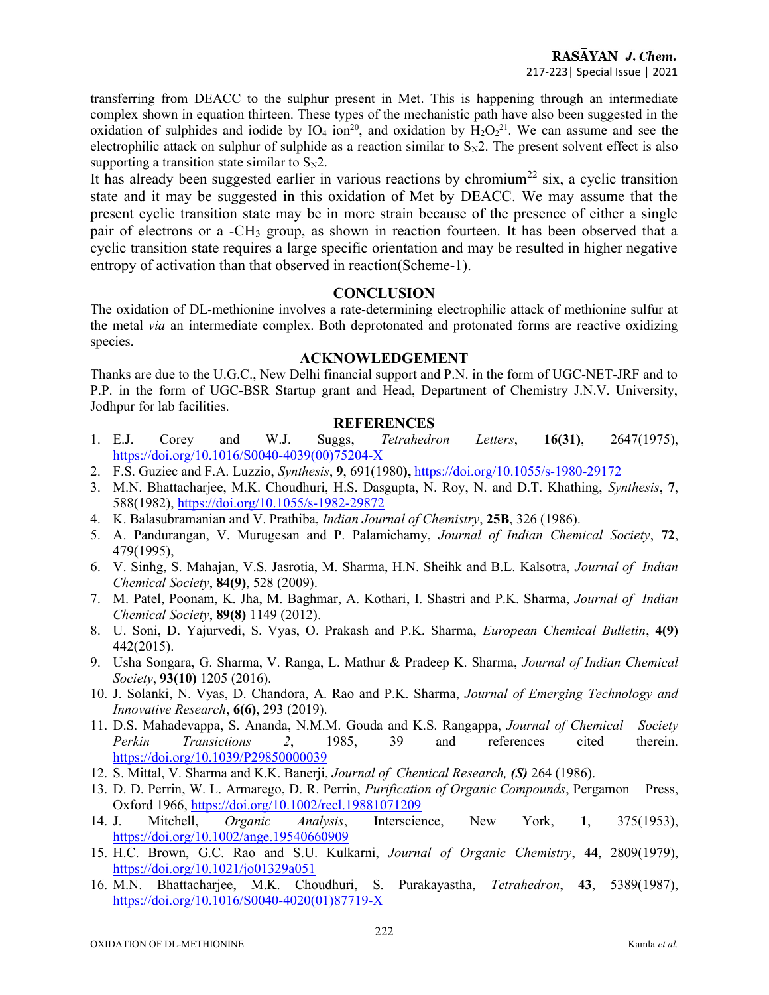transferring from DEACC to the sulphur present in Met. This is happening through an intermediate complex shown in equation thirteen. These types of the mechanistic path have also been suggested in the oxidation of sulphides and iodide by IO<sub>4</sub> ion<sup>20</sup>, and oxidation by  $H_2O_2^{21}$ . We can assume and see the electrophilic attack on sulphur of sulphide as a reaction similar to  $S_N2$ . The present solvent effect is also supporting a transition state similar to  $S_N2$ .

It has already been suggested earlier in various reactions by chromium<sup>22</sup> six, a cyclic transition state and it may be suggested in this oxidation of Met by DEACC. We may assume that the present cyclic transition state may be in more strain because of the presence of either a single pair of electrons or a -CH3 group, as shown in reaction fourteen. It has been observed that a cyclic transition state requires a large specific orientation and may be resulted in higher negative entropy of activation than that observed in reaction(Scheme-1).

# **CONCLUSION**

The oxidation of DL-methionine involves a rate-determining electrophilic attack of methionine sulfur at the metal via an intermediate complex. Both deprotonated and protonated forms are reactive oxidizing species.

## ACKNOWLEDGEMENT

Thanks are due to the U.G.C., New Delhi financial support and P.N. in the form of UGC-NET-JRF and to P.P. in the form of UGC-BSR Startup grant and Head, Department of Chemistry J.N.V. University, Jodhpur for lab facilities.

# **REFERENCES**

- 1. E.J. Corey and W.J. Suggs, Tetrahedron Letters, 16(31), 2647(1975), https://doi.org/10.1016/S0040-4039(00)75204-X
- 2. F.S. Guziec and F.A. Luzzio, Synthesis, 9, 691(1980), https://doi.org/10.1055/s-1980-29172
- 3. M.N. Bhattacharjee, M.K. Choudhuri, H.S. Dasgupta, N. Roy, N. and D.T. Khathing, Synthesis, 7, 588(1982), https://doi.org/10.1055/s-1982-29872
- 4. K. Balasubramanian and V. Prathiba, Indian Journal of Chemistry, 25B, 326 (1986).
- 5. A. Pandurangan, V. Murugesan and P. Palamichamy, Journal of Indian Chemical Society, 72, 479(1995),
- 6. V. Sinhg, S. Mahajan, V.S. Jasrotia, M. Sharma, H.N. Sheihk and B.L. Kalsotra, Journal of Indian Chemical Society, 84(9), 528 (2009).
- 7. M. Patel, Poonam, K. Jha, M. Baghmar, A. Kothari, I. Shastri and P.K. Sharma, Journal of Indian Chemical Society, 89(8) 1149 (2012).
- 8. U. Soni, D. Yajurvedi, S. Vyas, O. Prakash and P.K. Sharma, European Chemical Bulletin, 4(9) 442(2015).
- 9. Usha Songara, G. Sharma, V. Ranga, L. Mathur & Pradeep K. Sharma, Journal of Indian Chemical Society, 93(10) 1205 (2016).
- 10. J. Solanki, N. Vyas, D. Chandora, A. Rao and P.K. Sharma, Journal of Emerging Technology and Innovative Research, 6(6), 293 (2019).
- 11. D.S. Mahadevappa, S. Ananda, N.M.M. Gouda and K.S. Rangappa, Journal of Chemical Society Perkin Transictions 2, 1985, 39 and references cited therein. https://doi.org/10.1039/P29850000039
- 12. S. Mittal, V. Sharma and K.K. Banerji, Journal of Chemical Research, (S) 264 (1986).
- 13. D. D. Perrin, W. L. Armarego, D. R. Perrin, *Purification of Organic Compounds*, Pergamon Press, Oxford 1966, https://doi.org/10.1002/recl.19881071209
- 14. J. Mitchell, Organic Analysis, Interscience, New York, 1, 375(1953), https://doi.org/10.1002/ange.19540660909
- 15. H.C. Brown, G.C. Rao and S.U. Kulkarni, Journal of Organic Chemistry, 44, 2809(1979), https://doi.org/10.1021/jo01329a051
- 16. M.N. Bhattacharjee, M.K. Choudhuri, S. Purakayastha, Tetrahedron, 43, 5389(1987), https://doi.org/10.1016/S0040-4020(01)87719-X